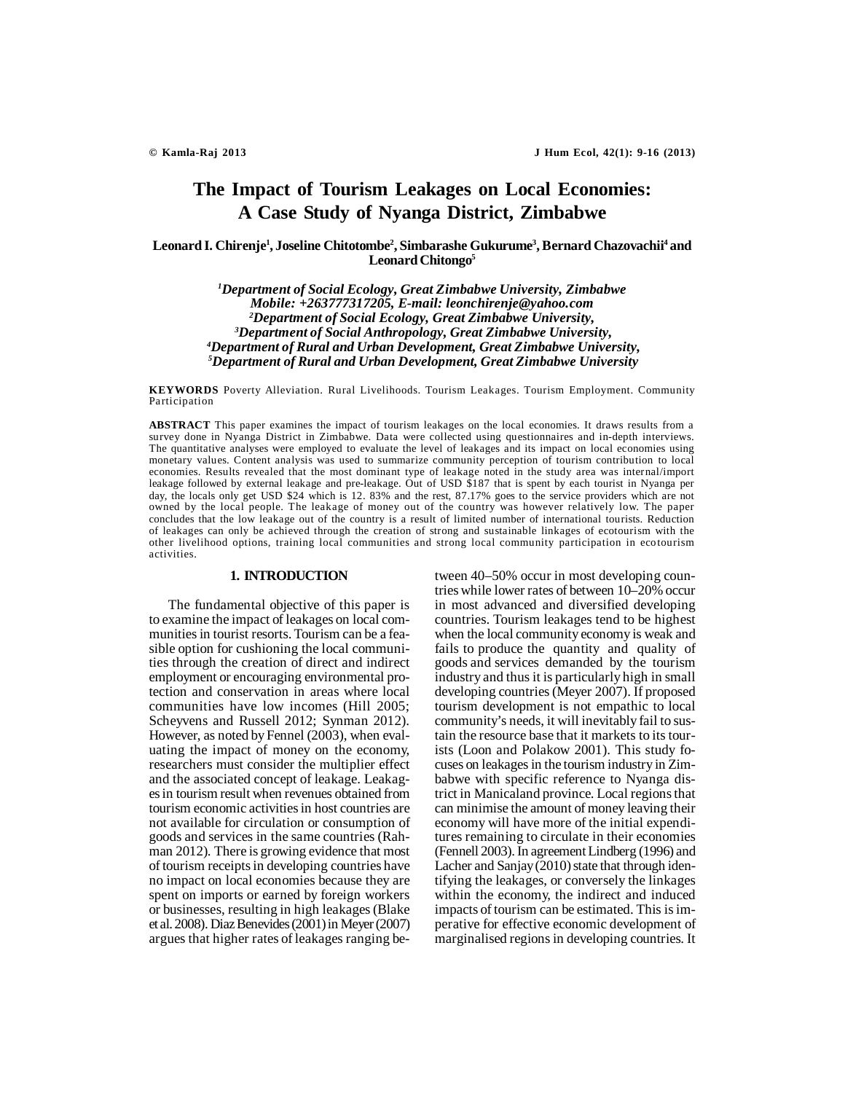# **The Impact of Tourism Leakages on Local Economies: A Case Study of Nyanga District, Zimbabwe**

**Leonard I. Chirenje<sup>1</sup> , Joseline Chitotombe<sup>2</sup> , Simbarashe Gukurume<sup>3</sup> , Bernard Chazovachii<sup>4</sup> and Leonard Chitongo<sup>5</sup>**

> *Department of Social Ecology, Great Zimbabwe University, Zimbabwe Mobile: +263777317205, E-mail: leonchirenje@yahoo.com Department of Social Ecology, Great Zimbabwe University, Department of Social Anthropology, Great Zimbabwe University, Department of Rural and Urban Development, Great Zimbabwe University, Department of Rural and Urban Development, Great Zimbabwe University*

**KEYWORDS** Poverty Alleviation. Rural Livelihoods. Tourism Leakages. Tourism Employment. Community Participation

**ABSTRACT** This paper examines the impact of tourism leakages on the local economies. It draws results from a survey done in Nyanga District in Zimbabwe. Data were collected using questionnaires and in-depth interviews. The quantitative analyses were employed to evaluate the level of leakages and its impact on local economies using monetary values. Content analysis was used to summarize community perception of tourism contribution to local economies. Results revealed that the most dominant type of leakage noted in the study area was internal/import leakage followed by external leakage and pre-leakage. Out of USD \$187 that is spent by each tourist in Nyanga per day, the locals only get USD \$24 which is 12. 83% and the rest, 87.17% goes to the service providers which are not owned by the local people. The leakage of money out of the country was however relatively low. The paper concludes that the low leakage out of the country is a result of limited number of international tourists. Reduction of leakages can only be achieved through the creation of strong and sustainable linkages of ecotourism with the other livelihood options, training local communities and strong local community participation in ecotourism activities.

## **1. INTRODUCTION**

The fundamental objective of this paper is to examine the impact of leakages on local communities in tourist resorts. Tourism can be a feasible option for cushioning the local communities through the creation of direct and indirect employment or encouraging environmental protection and conservation in areas where local communities have low incomes (Hill 2005; Scheyvens and Russell 2012; Synman 2012). However, as noted by Fennel (2003), when evaluating the impact of money on the economy, researchers must consider the multiplier effect and the associated concept of leakage. Leakages in tourism result when revenues obtained from tourism economic activities in host countries are not available for circulation or consumption of goods and services in the same countries (Rahman 2012). There is growing evidence that most of tourism receipts in developing countries have no impact on local economies because they are spent on imports or earned by foreign workers or businesses, resulting in high leakages (Blake et al. 2008). Diaz Benevides (2001) in Meyer (2007) argues that higher rates of leakages ranging between 40–50% occur in most developing countries while lower rates of between 10–20% occur in most advanced and diversified developing countries. Tourism leakages tend to be highest when the local community economy is weak and fails to produce the quantity and quality of goods and services demanded by the tourism industry and thus it is particularly high in small developing countries (Meyer 2007). If proposed tourism development is not empathic to local community's needs, it will inevitably fail to sustain the resource base that it markets to its tourists (Loon and Polakow 2001). This study focuses on leakages in the tourism industry in Zimbabwe with specific reference to Nyanga district in Manicaland province. Local regions that can minimise the amount of money leaving their economy will have more of the initial expenditures remaining to circulate in their economies (Fennell 2003). In agreement Lindberg (1996) and Lacher and Sanjay (2010) state that through identifying the leakages, or conversely the linkages within the economy, the indirect and induced impacts of tourism can be estimated. This is imperative for effective economic development of marginalised regions in developing countries. It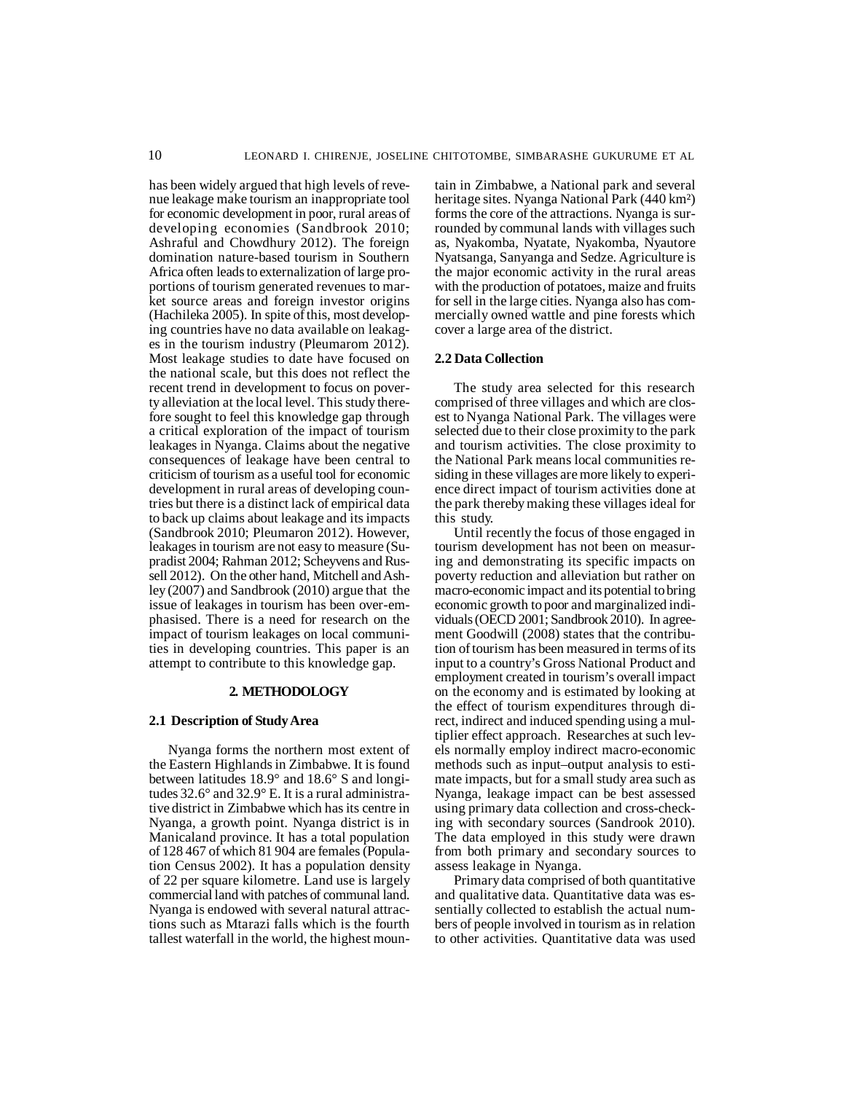has been widely argued that high levels of revenue leakage make tourism an inappropriate tool for economic development in poor, rural areas of developing economies (Sandbrook 2010; Ashraful and Chowdhury 2012). The foreign domination nature-based tourism in Southern Africa often leads to externalization of large proportions of tourism generated revenues to market source areas and foreign investor origins (Hachileka 2005). In spite of this, most developing countries have no data available on leakages in the tourism industry (Pleumarom 2012). Most leakage studies to date have focused on the national scale, but this does not reflect the recent trend in development to focus on poverty alleviation at the local level. This study therefore sought to feel this knowledge gap through a critical exploration of the impact of tourism leakages in Nyanga. Claims about the negative consequences of leakage have been central to criticism of tourism as a useful tool for economic development in rural areas of developing countries but there is a distinct lack of empirical data to back up claims about leakage and its impacts (Sandbrook 2010; Pleumaron 2012). However, leakages in tourism are not easy to measure (Supradist 2004; Rahman 2012; Scheyvens and Russell 2012). On the other hand, Mitchell and Ashley (2007) and Sandbrook (2010) argue that the issue of leakages in tourism has been over-emphasised. There is a need for research on the impact of tourism leakages on local communities in developing countries. This paper is an attempt to contribute to this knowledge gap.

#### **2. METHODOLOGY**

## **2.1 Description of Study Area**

Nyanga forms the northern most extent of the Eastern Highlands in Zimbabwe. It is found between latitudes 18.9° and 18.6° S and longitudes 32.6° and 32.9° E. It is a rural administrative district in Zimbabwe which has its centre in Nyanga, a growth point. Nyanga district is in Manicaland province. It has a total population of 128 467 of which 81 904 are females (Population Census 2002). It has a population density of 22 per square kilometre. Land use is largely commercial land with patches of communal land. Nyanga is endowed with several natural attractions such as Mtarazi falls which is the fourth tallest waterfall in the world, the highest mountain in Zimbabwe, a National park and several heritage sites. Nyanga National Park (440 km²) forms the core of the attractions. Nyanga is surrounded by communal lands with villages such as, Nyakomba, Nyatate, Nyakomba, Nyautore Nyatsanga, Sanyanga and Sedze. Agriculture is the major economic activity in the rural areas with the production of potatoes, maize and fruits for sell in the large cities. Nyanga also has commercially owned wattle and pine forests which cover a large area of the district.

#### **2.2 Data Collection**

The study area selected for this research comprised of three villages and which are closest to Nyanga National Park. The villages were selected due to their close proximity to the park and tourism activities. The close proximity to the National Park means local communities residing in these villages are more likely to experience direct impact of tourism activities done at the park thereby making these villages ideal for this study.

Until recently the focus of those engaged in tourism development has not been on measuring and demonstrating its specific impacts on poverty reduction and alleviation but rather on macro-economic impact and its potential to bring economic growth to poor and marginalized individuals (OECD 2001; Sandbrook 2010). In agreement Goodwill (2008) states that the contribution of tourism has been measured in terms of its input to a country's Gross National Product and employment created in tourism's overall impact on the economy and is estimated by looking at the effect of tourism expenditures through direct, indirect and induced spending using a multiplier effect approach. Researches at such levels normally employ indirect macro-economic methods such as input–output analysis to estimate impacts, but for a small study area such as Nyanga, leakage impact can be best assessed using primary data collection and cross-checking with secondary sources (Sandrook 2010). The data employed in this study were drawn from both primary and secondary sources to assess leakage in Nyanga.

Primary data comprised of both quantitative and qualitative data. Quantitative data was essentially collected to establish the actual numbers of people involved in tourism as in relation to other activities. Quantitative data was used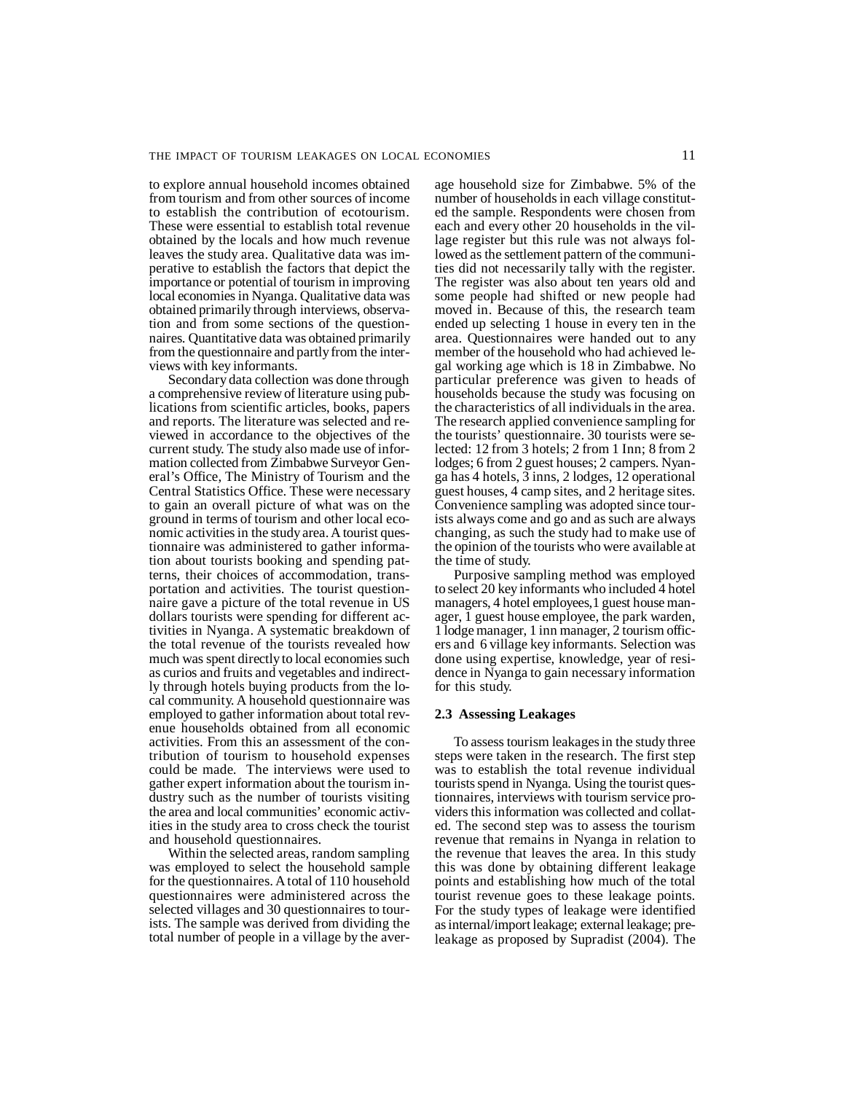to explore annual household incomes obtained from tourism and from other sources of income to establish the contribution of ecotourism. These were essential to establish total revenue obtained by the locals and how much revenue leaves the study area. Qualitative data was imperative to establish the factors that depict the importance or potential of tourism in improving local economies in Nyanga. Qualitative data was obtained primarily through interviews, observation and from some sections of the questionnaires. Quantitative data was obtained primarily from the questionnaire and partly from the interviews with key informants.

Secondary data collection was done through a comprehensive review of literature using publications from scientific articles, books, papers and reports. The literature was selected and reviewed in accordance to the objectives of the current study. The study also made use of information collected from Zimbabwe Surveyor General's Office, The Ministry of Tourism and the Central Statistics Office. These were necessary to gain an overall picture of what was on the ground in terms of tourism and other local economic activities in the study area. A tourist questionnaire was administered to gather information about tourists booking and spending patterns, their choices of accommodation, transportation and activities. The tourist questionnaire gave a picture of the total revenue in US dollars tourists were spending for different activities in Nyanga. A systematic breakdown of the total revenue of the tourists revealed how much was spent directly to local economies such as curios and fruits and vegetables and indirectly through hotels buying products from the local community. A household questionnaire was employed to gather information about total revenue households obtained from all economic activities. From this an assessment of the contribution of tourism to household expenses could be made. The interviews were used to gather expert information about the tourism industry such as the number of tourists visiting the area and local communities' economic activities in the study area to cross check the tourist and household questionnaires.

Within the selected areas, random sampling was employed to select the household sample for the questionnaires. A total of 110 household questionnaires were administered across the selected villages and 30 questionnaires to tourists. The sample was derived from dividing the total number of people in a village by the average household size for Zimbabwe. 5% of the number of households in each village constituted the sample. Respondents were chosen from each and every other 20 households in the village register but this rule was not always followed as the settlement pattern of the communities did not necessarily tally with the register. The register was also about ten years old and some people had shifted or new people had moved in. Because of this, the research team ended up selecting 1 house in every ten in the area. Questionnaires were handed out to any member of the household who had achieved legal working age which is 18 in Zimbabwe. No particular preference was given to heads of households because the study was focusing on the characteristics of all individuals in the area. The research applied convenience sampling for the tourists' questionnaire. 30 tourists were selected: 12 from 3 hotels; 2 from 1 Inn; 8 from 2 lodges; 6 from 2 guest houses; 2 campers. Nyanga has 4 hotels, 3 inns, 2 lodges, 12 operational guest houses, 4 camp sites, and 2 heritage sites. Convenience sampling was adopted since tourists always come and go and as such are always changing, as such the study had to make use of the opinion of the tourists who were available at the time of study.

Purposive sampling method was employed to select 20 key informants who included 4 hotel managers, 4 hotel employees,1 guest house manager, 1 guest house employee, the park warden, 1 lodge manager, 1 inn manager, 2 tourism officers and 6 village key informants. Selection was done using expertise, knowledge, year of residence in Nyanga to gain necessary information for this study.

## **2.3 Assessing Leakages**

To assess tourism leakages in the study three steps were taken in the research. The first step was to establish the total revenue individual tourists spend in Nyanga. Using the tourist questionnaires, interviews with tourism service providers this information was collected and collated. The second step was to assess the tourism revenue that remains in Nyanga in relation to the revenue that leaves the area. In this study this was done by obtaining different leakage points and establishing how much of the total tourist revenue goes to these leakage points. For the study types of leakage were identified as internal/import leakage; external leakage; preleakage as proposed by Supradist (2004). The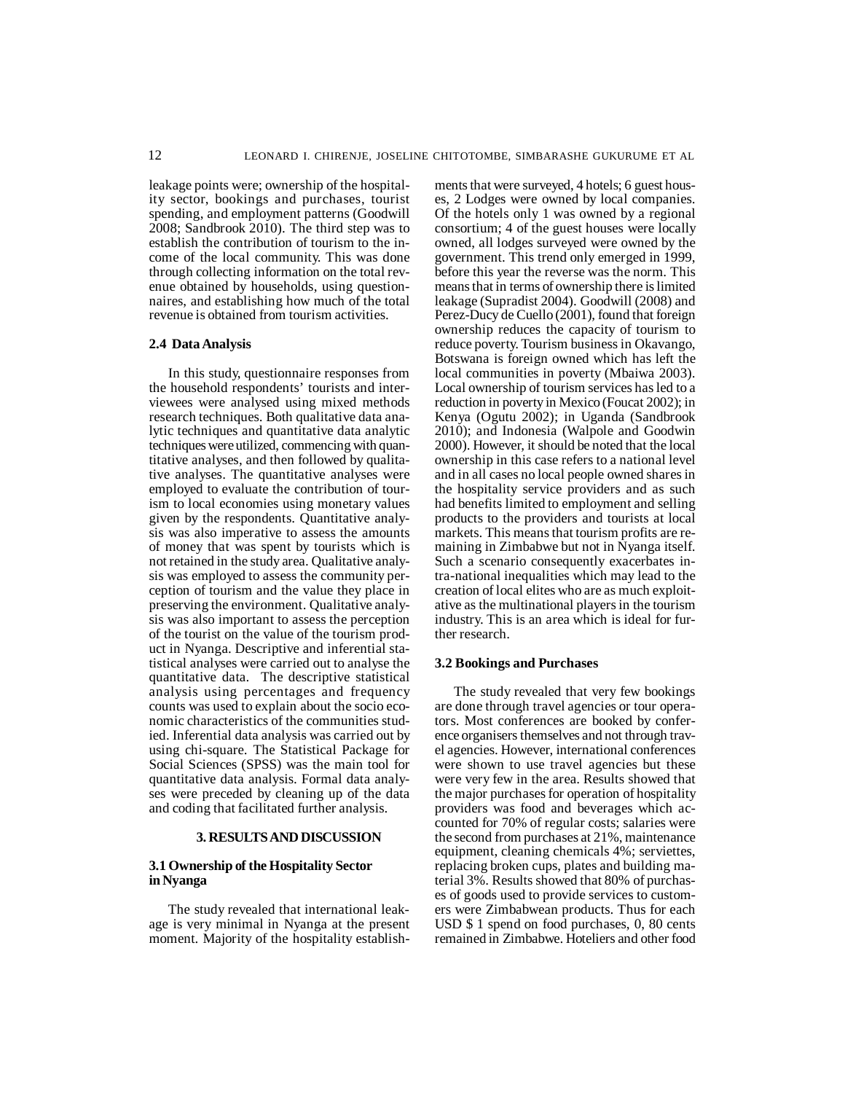leakage points were; ownership of the hospitality sector, bookings and purchases, tourist spending, and employment patterns (Goodwill 2008; Sandbrook 2010). The third step was to establish the contribution of tourism to the income of the local community. This was done through collecting information on the total revenue obtained by households, using questionnaires, and establishing how much of the total revenue is obtained from tourism activities.

#### **2.4 Data Analysis**

In this study, questionnaire responses from the household respondents' tourists and interviewees were analysed using mixed methods research techniques. Both qualitative data analytic techniques and quantitative data analytic techniques were utilized, commencing with quantitative analyses, and then followed by qualitative analyses. The quantitative analyses were employed to evaluate the contribution of tourism to local economies using monetary values given by the respondents. Quantitative analysis was also imperative to assess the amounts of money that was spent by tourists which is not retained in the study area. Qualitative analysis was employed to assess the community perception of tourism and the value they place in preserving the environment. Qualitative analysis was also important to assess the perception of the tourist on the value of the tourism product in Nyanga. Descriptive and inferential statistical analyses were carried out to analyse the quantitative data. The descriptive statistical analysis using percentages and frequency counts was used to explain about the socio economic characteristics of the communities studied. Inferential data analysis was carried out by using chi-square. The Statistical Package for Social Sciences (SPSS) was the main tool for quantitative data analysis. Formal data analyses were preceded by cleaning up of the data and coding that facilitated further analysis.

## **3. RESULTS AND DISCUSSION**

## **3.1 Ownership of the Hospitality Sector in Nyanga**

The study revealed that international leakage is very minimal in Nyanga at the present moment. Majority of the hospitality establishments that were surveyed, 4 hotels; 6 guest houses, 2 Lodges were owned by local companies. Of the hotels only 1 was owned by a regional consortium; 4 of the guest houses were locally owned, all lodges surveyed were owned by the government. This trend only emerged in 1999, before this year the reverse was the norm. This means that in terms of ownership there is limited leakage (Supradist 2004). Goodwill (2008) and Perez-Ducy de Cuello (2001), found that foreign ownership reduces the capacity of tourism to reduce poverty. Tourism business in Okavango, Botswana is foreign owned which has left the local communities in poverty (Mbaiwa 2003). Local ownership of tourism services has led to a reduction in poverty in Mexico (Foucat 2002); in Kenya (Ogutu 2002); in Uganda (Sandbrook 2010); and Indonesia (Walpole and Goodwin 2000). However, it should be noted that the local ownership in this case refers to a national level and in all cases no local people owned shares in the hospitality service providers and as such had benefits limited to employment and selling products to the providers and tourists at local markets. This means that tourism profits are remaining in Zimbabwe but not in Nyanga itself. Such a scenario consequently exacerbates intra-national inequalities which may lead to the creation of local elites who are as much exploitative as the multinational players in the tourism industry. This is an area which is ideal for further research.

## **3.2 Bookings and Purchases**

The study revealed that very few bookings are done through travel agencies or tour operators. Most conferences are booked by conference organisers themselves and not through travel agencies. However, international conferences were shown to use travel agencies but these were very few in the area. Results showed that the major purchases for operation of hospitality providers was food and beverages which accounted for 70% of regular costs; salaries were the second from purchases at 21%, maintenance equipment, cleaning chemicals 4%; serviettes, replacing broken cups, plates and building material 3%. Results showed that 80% of purchases of goods used to provide services to customers were Zimbabwean products. Thus for each USD \$ 1 spend on food purchases, 0, 80 cents remained in Zimbabwe. Hoteliers and other food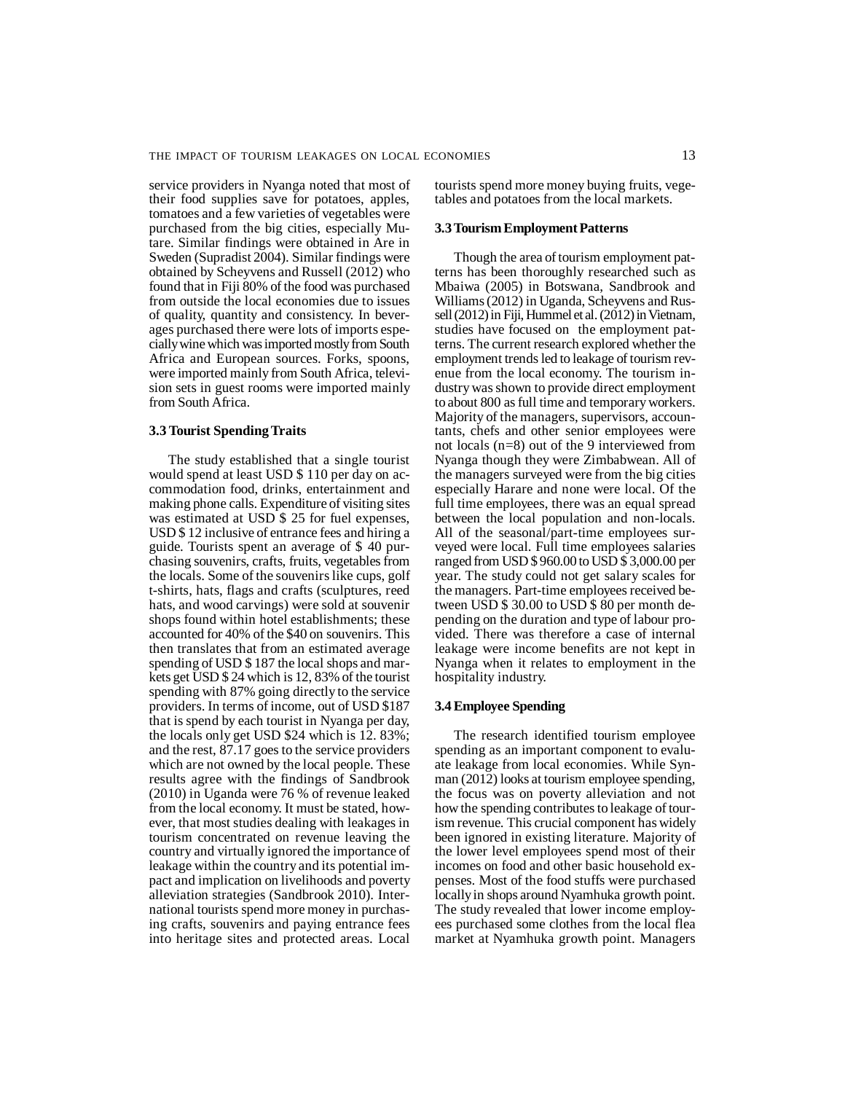service providers in Nyanga noted that most of their food supplies save for potatoes, apples, tomatoes and a few varieties of vegetables were purchased from the big cities, especially Mutare. Similar findings were obtained in Are in Sweden (Supradist 2004). Similar findings were obtained by Scheyvens and Russell (2012) who found that in Fiji 80% of the food was purchased from outside the local economies due to issues of quality, quantity and consistency. In beverages purchased there were lots of imports especially wine which was imported mostly from South Africa and European sources. Forks, spoons, were imported mainly from South Africa, television sets in guest rooms were imported mainly from South Africa.

## **3.3 Tourist Spending Traits**

The study established that a single tourist would spend at least USD \$ 110 per day on accommodation food, drinks, entertainment and making phone calls. Expenditure of visiting sites was estimated at USD \$ 25 for fuel expenses, USD \$ 12 inclusive of entrance fees and hiring a guide. Tourists spent an average of \$ 40 purchasing souvenirs, crafts, fruits, vegetables from the locals. Some of the souvenirs like cups, golf t-shirts, hats, flags and crafts (sculptures, reed hats, and wood carvings) were sold at souvenir shops found within hotel establishments; these accounted for 40% of the \$40 on souvenirs. This then translates that from an estimated average spending of USD \$ 187 the local shops and markets get USD \$ 24 which is 12, 83% of the tourist spending with 87% going directly to the service providers. In terms of income, out of USD \$187 that is spend by each tourist in Nyanga per day, the locals only get USD \$24 which is 12. 83%; and the rest, 87.17 goes to the service providers which are not owned by the local people. These results agree with the findings of Sandbrook (2010) in Uganda were 76 % of revenue leaked from the local economy. It must be stated, however, that most studies dealing with leakages in tourism concentrated on revenue leaving the country and virtually ignored the importance of leakage within the country and its potential impact and implication on livelihoods and poverty alleviation strategies (Sandbrook 2010). International tourists spend more money in purchasing crafts, souvenirs and paying entrance fees into heritage sites and protected areas. Local

tourists spend more money buying fruits, vegetables and potatoes from the local markets.

#### **3.3 Tourism Employment Patterns**

Though the area of tourism employment patterns has been thoroughly researched such as Mbaiwa (2005) in Botswana, Sandbrook and Williams (2012) in Uganda, Scheyvens and Russell (2012) in Fiji, Hummel et al. (2012) in Vietnam, studies have focused on the employment patterns. The current research explored whether the employment trends led to leakage of tourism revenue from the local economy. The tourism industry was shown to provide direct employment to about 800 as full time and temporary workers. Majority of the managers, supervisors, accountants, chefs and other senior employees were not locals (n=8) out of the 9 interviewed from Nyanga though they were Zimbabwean. All of the managers surveyed were from the big cities especially Harare and none were local. Of the full time employees, there was an equal spread between the local population and non-locals. All of the seasonal/part-time employees surveyed were local. Full time employees salaries ranged from USD \$ 960.00 to USD \$ 3,000.00 per year. The study could not get salary scales for the managers. Part-time employees received between USD \$ 30.00 to USD \$ 80 per month depending on the duration and type of labour provided. There was therefore a case of internal leakage were income benefits are not kept in Nyanga when it relates to employment in the hospitality industry.

## **3.4 Employee Spending**

The research identified tourism employee spending as an important component to evaluate leakage from local economies. While Synman (2012) looks at tourism employee spending, the focus was on poverty alleviation and not how the spending contributes to leakage of tourism revenue. This crucial component has widely been ignored in existing literature. Majority of the lower level employees spend most of their incomes on food and other basic household expenses. Most of the food stuffs were purchased locally in shops around Nyamhuka growth point. The study revealed that lower income employees purchased some clothes from the local flea market at Nyamhuka growth point. Managers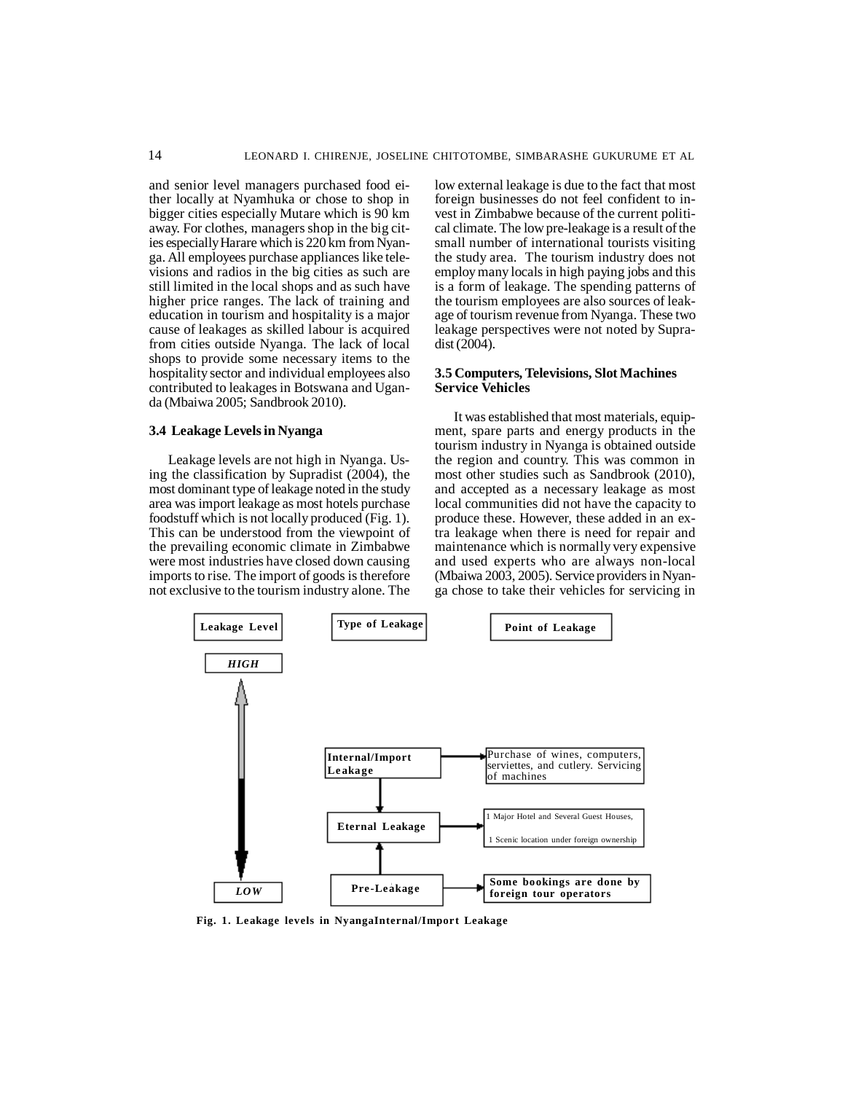and senior level managers purchased food either locally at Nyamhuka or chose to shop in bigger cities especially Mutare which is 90 km away. For clothes, managers shop in the big cities especially Harare which is 220 km from Nyanga. All employees purchase appliances like televisions and radios in the big cities as such are still limited in the local shops and as such have higher price ranges. The lack of training and education in tourism and hospitality is a major cause of leakages as skilled labour is acquired from cities outside Nyanga. The lack of local shops to provide some necessary items to the hospitality sector and individual employees also contributed to leakages in Botswana and Uganda (Mbaiwa 2005; Sandbrook 2010).

## **3.4 Leakage Levels in Nyanga**

Leakage levels are not high in Nyanga. Using the classification by Supradist (2004), the most dominant type of leakage noted in the study area was import leakage as most hotels purchase foodstuff which is not locally produced (Fig. 1). This can be understood from the viewpoint of the prevailing economic climate in Zimbabwe were most industries have closed down causing imports to rise. The import of goods is therefore not exclusive to the tourism industry alone. The

low external leakage is due to the fact that most foreign businesses do not feel confident to invest in Zimbabwe because of the current political climate. The low pre-leakage is a result of the small number of international tourists visiting the study area. The tourism industry does not employ many locals in high paying jobs and this is a form of leakage. The spending patterns of the tourism employees are also sources of leakage of tourism revenue from Nyanga. These two leakage perspectives were not noted by Supradist (2004).

## **3.5 Computers, Televisions, Slot Machines Service Vehicles**

It was established that most materials, equipment, spare parts and energy products in the tourism industry in Nyanga is obtained outside the region and country. This was common in most other studies such as Sandbrook (2010), and accepted as a necessary leakage as most local communities did not have the capacity to produce these. However, these added in an extra leakage when there is need for repair and maintenance which is normally very expensive and used experts who are always non-local (Mbaiwa 2003, 2005). Service providers in Nyanga chose to take their vehicles for servicing in



**Fig. 1. Leakage levels in NyangaInternal/Import Leakage**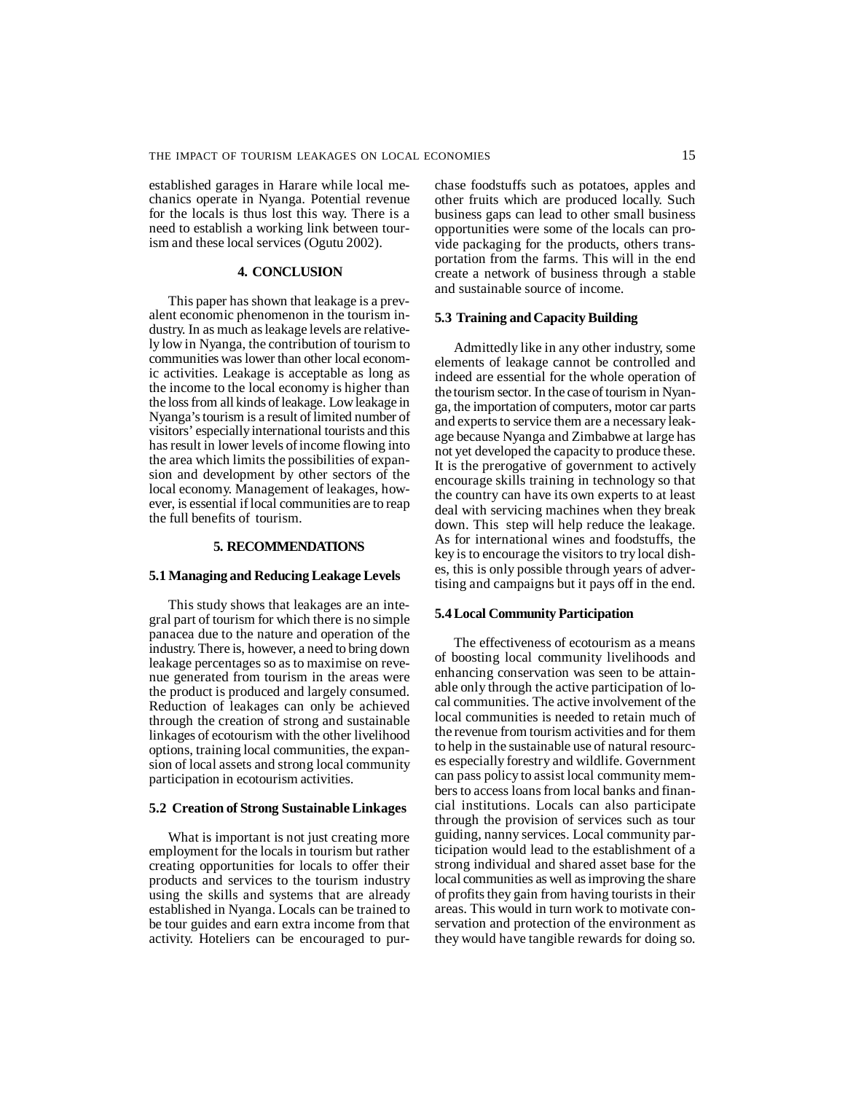established garages in Harare while local mechanics operate in Nyanga. Potential revenue for the locals is thus lost this way. There is a need to establish a working link between tourism and these local services (Ogutu 2002).

## **4. CONCLUSION**

This paper has shown that leakage is a prevalent economic phenomenon in the tourism industry. In as much as leakage levels are relatively low in Nyanga, the contribution of tourism to communities was lower than other local economic activities. Leakage is acceptable as long as the income to the local economy is higher than the loss from all kinds of leakage. Low leakage in Nyanga's tourism is a result of limited number of visitors' especially international tourists and this has result in lower levels of income flowing into the area which limits the possibilities of expansion and development by other sectors of the local economy. Management of leakages, however, is essential if local communities are to reap the full benefits of tourism.

## **5. RECOMMENDATIONS**

#### **5.1 Managing and Reducing Leakage Levels**

This study shows that leakages are an integral part of tourism for which there is no simple panacea due to the nature and operation of the industry. There is, however, a need to bring down leakage percentages so as to maximise on revenue generated from tourism in the areas were the product is produced and largely consumed. Reduction of leakages can only be achieved through the creation of strong and sustainable linkages of ecotourism with the other livelihood options, training local communities, the expansion of local assets and strong local community participation in ecotourism activities.

#### **5.2 Creation of Strong Sustainable Linkages**

What is important is not just creating more employment for the locals in tourism but rather creating opportunities for locals to offer their products and services to the tourism industry using the skills and systems that are already established in Nyanga. Locals can be trained to be tour guides and earn extra income from that activity. Hoteliers can be encouraged to purchase foodstuffs such as potatoes, apples and other fruits which are produced locally. Such business gaps can lead to other small business opportunities were some of the locals can provide packaging for the products, others transportation from the farms. This will in the end create a network of business through a stable and sustainable source of income.

#### **5.3 Training and Capacity Building**

Admittedly like in any other industry, some elements of leakage cannot be controlled and indeed are essential for the whole operation of the tourism sector. In the case of tourism in Nyanga, the importation of computers, motor car parts and experts to service them are a necessary leakage because Nyanga and Zimbabwe at large has not yet developed the capacity to produce these. It is the prerogative of government to actively encourage skills training in technology so that the country can have its own experts to at least deal with servicing machines when they break down. This step will help reduce the leakage. As for international wines and foodstuffs, the key is to encourage the visitors to try local dishes, this is only possible through years of advertising and campaigns but it pays off in the end.

## **5.4 Local Community Participation**

The effectiveness of ecotourism as a means of boosting local community livelihoods and enhancing conservation was seen to be attainable only through the active participation of local communities. The active involvement of the local communities is needed to retain much of the revenue from tourism activities and for them to help in the sustainable use of natural resources especially forestry and wildlife. Government can pass policy to assist local community members to access loans from local banks and financial institutions. Locals can also participate through the provision of services such as tour guiding, nanny services. Local community participation would lead to the establishment of a strong individual and shared asset base for the local communities as well as improving the share of profits they gain from having tourists in their areas. This would in turn work to motivate conservation and protection of the environment as they would have tangible rewards for doing so.